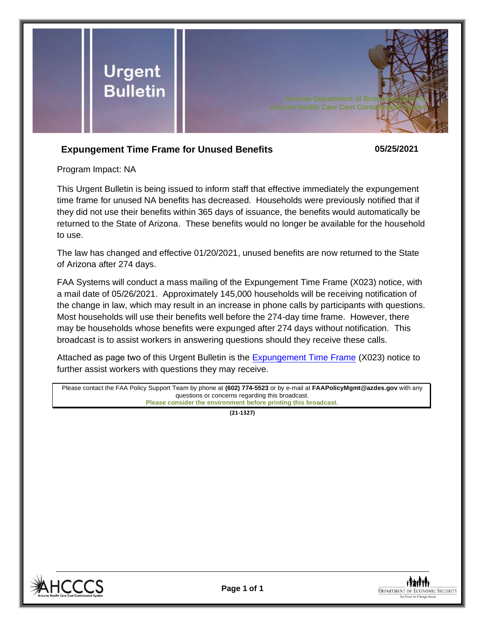

## **Expungement Time Frame for Unused Benefits 05/25/2021**

Program Impact: NA

This Urgent Bulletin is being issued to inform staff that effective immediately the expungement time frame for unused NA benefits has decreased. Households were previously notified that if they did not use their benefits within 365 days of issuance, the benefits would automatically be returned to the State of Arizona. These benefits would no longer be available for the household to use.

The law has changed and effective 01/20/2021, unused benefits are now returned to the State of Arizona after 274 days.

FAA Systems will conduct a mass mailing of the Expungement Time Frame (X023) notice, with a mail date of 05/26/2021. Approximately 145,000 households will be receiving notification of the change in law, which may result in an increase in phone calls by participants with questions. Most households will use their benefits well before the 274-day time frame. However, there may be households whose benefits were expunged after 274 days without notification. This broadcast is to assist workers in answering questions should they receive these calls.

Attached as page two of this Urgent Bulletin is the [Expungement Time Frame](#page-1-0) (X023) notice to further assist workers with questions they may receive.

Please contact the FAA Policy Support Team by phone at **(602) 774-5523** or by e-mail at **FAAPolicyMgmt@azdes.gov** with any questions or concerns regarding this broadcast. **Please consider the environment before printing this broadcast.**

**(21-1327)**